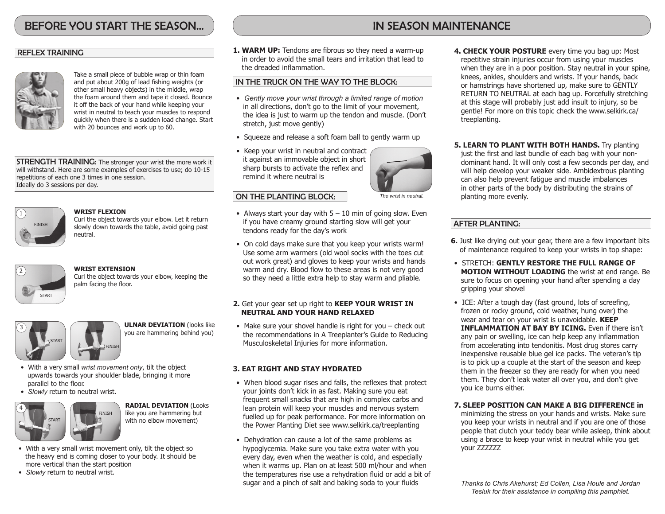# BEFORE YOU START THE SEASON...

# REFLEX TRAINING



Take a small piece of bubble wrap or thin foam and put about 200g of lead fishing weights (or other small heavy objects) in the middle, wrap the foam around them and tape it closed. Bounce it off the back of your hand while keeping your wrist in neutral to teach your muscles to respond quickly when there is a sudden load change. Start with 20 bounces and work up to 60.

**STRENGTH TRAINING:** The stronger your wrist the more work it will withstand. Here are some examples of exercises to use; do 10-15 repetitions of each one 3 times in one session. Ideally do 3 sessions per day.



#### **WRIST FLEXION**

Curl the object towards your elbow. Let it return slowly down towards the table, avoid going past neutral.



# **WRIST EXTENSION**

Curl the object towards your elbow, keeping the palm facing the floor.



**ULNAR DEVIATION** (looks like you are hammering behind you)

- With a very small *wrist movement only*, tilt the object upwards towards your shoulder blade, bringing it more parallel to the floor.
- *Slowly* return to neutral wrist.



**RADIAL DEVIATION** (Looks like you are hammering but with no elbow movement)

- With a very small wrist movement only, tilt the object so the heavy end is coming closer to your body. It should be more vertical than the start position
- *Slowly* return to neutral wrist.

**1. WARM UP:** Tendons are fibrous so they need a warm-up in order to avoid the small tears and irritation that lead to the dreaded inflammation.

## IN THE TRUCK ON THE WAY TO THE BLOCK:

- *Gently move your wrist through a limited range of motion* in all directions, don't go to the limit of your movement, the idea is just to warm up the tendon and muscle. (Don't stretch, just move gently)
- Squeeze and release a soft foam ball to gently warm up
- Keep your wrist in neutral and contract it against an immovable object in short sharp bursts to activate the reflex and remind it where neutral is



### ON THE PLANTING BLOCK:

- Always start your day with  $5 10$  min of going slow. Even if you have creamy ground starting slow will get your tendons ready for the day's work
- On cold days make sure that you keep your wrists warm! Use some arm warmers (old wool socks with the toes cut out work great) and gloves to keep your wrists and hands warm and dry. Blood flow to these areas is not very good so they need a little extra help to stay warm and pliable.

## **2.** Get your gear set up right to **KEEP YOUR WRIST IN NEUTRAL AND YOUR HAND RELAXED**

• Make sure your shovel handle is right for you – check out the recommendations in A Treeplanter's Guide to Reducing Musculoskeletal Injuries for more information.

# **3. EAT RIGHT AND STAY HYDRATED**

- When blood sugar rises and falls, the reflexes that protect your joints don't kick in as fast. Making sure you eat frequent small snacks that are high in complex carbs and lean protein will keep your muscles and nervous system fuelled up for peak performance. For more information on the Power Planting Diet see www.selkirk.ca/treeplanting
- Dehydration can cause a lot of the same problems as hypoglycemia. Make sure you take extra water with you every day, even when the weather is cold, and especially when it warms up. Plan on at least 500 ml/hour and when the temperatures rise use a rehydration fluid or add a bit of sugar and a pinch of salt and baking soda to your fluids
- **4. CHECK YOUR POSTURE** every time you bag up: Most repetitive strain injuries occur from using your muscles when they are in a poor position. Stay neutral in your spine, knees, ankles, shoulders and wrists. If your hands, back or hamstrings have shortened up, make sure to GENTLY RETURN TO NEUTRAL at each bag up. Forcefully stretching at this stage will probably just add insult to injury, so be gentle! For more on this topic check the www.selkirk.ca/ treeplanting.
- **5. LEARN TO PLANT WITH BOTH HANDS.** Try planting just the first and last bundle of each bag with your nondominant hand. It will only cost a few seconds per day, and will help develop your weaker side. Ambidextrous planting can also help prevent fatigue and muscle imbalances in other parts of the body by distributing the strains of planting more evenly.

# AFTER PLANTING:

your ZZZZZZ

- **6.** Just like drying out your gear, there are a few important bits of maintenance required to keep your wrists in top shape:
- STRETCH: **GENTLY RESTORE THE FULL RANGE OF MOTION WITHOUT LOADING** the wrist at end range. Be sure to focus on opening your hand after spending a day gripping your shovel
- ICE: After a tough day (fast ground, lots of screefing, frozen or rocky ground, cold weather, hung over) the wear and tear on your wrist is unavoidable. **KEEP INFLAMMATION AT BAY BY ICING.** Even if there isn't any pain or swelling, ice can help keep any inflammation from accelerating into tendonitis. Most drug stores carry inexpensive reusable blue gel ice packs. The veteran's tip is to pick up a couple at the start of the season and keep them in the freezer so they are ready for when you need them. They don't leak water all over you, and don't give you ice burns either.

**7. SLEEP POSITION CAN MAKE A BIG DIFFERENCE in**  minimizing the stress on your hands and wrists. Make sure you keep your wrists in neutral and if you are one of those people that clutch your teddy bear while asleep, think about

using a brace to keep your wrist in neutral while you get

*Thanks to Chris Akehurst; Ed Collen, Lisa Houle and Jordan Tesluk for their assistance in compiling this pamphlet.*

# IN SEASON MAINTENANCE